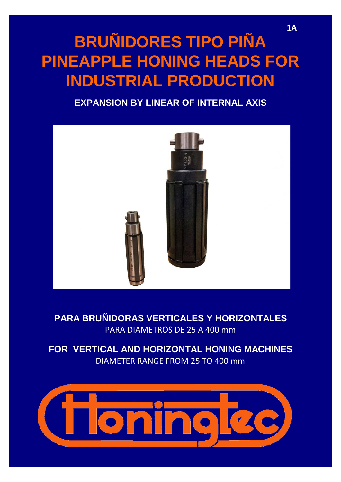# **BRUÑIDORES TIPO PIÑA PINEAPPLE HONING HEADS FOR INDUSTRIAL PRODUCTION**

### **EXPANSION BY LINEAR OF INTERNAL AXIS**



## **PARA BRUÑIDORAS VERTICALES Y HORIZONTALES** PARA DIAMETROS DE 25 A 400 mm

**FOR VERTICAL AND HORIZONTAL HONING MACHINES** DIAMETER RANGE FROM 25 TO 400 mm

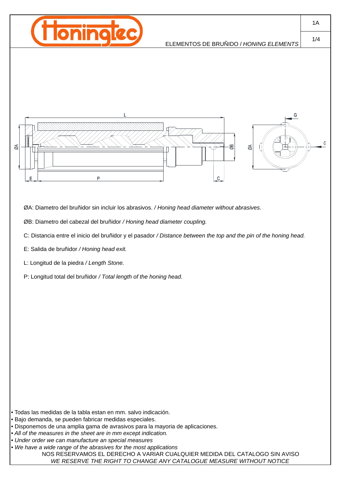

#### ELEMENTOS DE BRUÑIDO / *HONING ELEMENTS*





ØA: Diametro del bruñidor sin incluir los abrasivos. */ Honing head diameter without abrasives.*

ØB: Diametro del cabezal del bruñidor */ Honing head diameter coupling.*

C: Distancia entre el inicio del bruñidor y el pasador */ Distance between the top and the pin of the honing head.*

E: Salida de bruñidor */ Honing head exit.*

L: Longitud de la piedra */ Length Stone.*

P: Longitud total del bruñidor */ Total length of the honing head.*

• Todas las medidas de la tabla estan en mm. salvo indicación.

*• Under order we can manufacture an special measures*

• We have a wide range of the abrasives for the most applications NOS RESERVAMOS EL DERECHO A VARIAR CUALQUIER MEDIDA DEL CATALOGO SIN AVISO *WE RESERVE THE RIGHT TO CHANGE ANY CATALOGUE MEASURE WITHOUT NOTICE*

1A

1/4

<sup>•</sup> Bajo demanda, se pueden fabricar medidas especiales.

<sup>•</sup> Disponemos de una amplia gama de avrasivos para la mayoria de aplicaciones.

*<sup>•</sup> All of the measures in the sheet are in mm except indication.*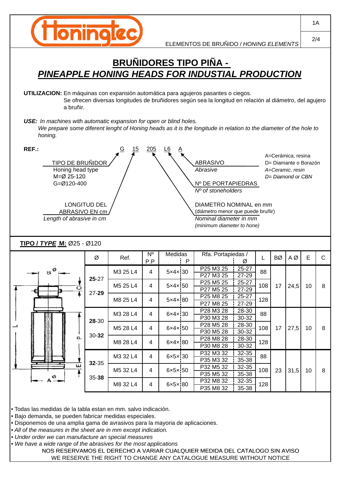

## **BRUÑIDORES TIPO PIÑA -**  *PINEAPPLE HONING HEADS FOR INDUSTIAL PRODUCTION*

**UTILIZACION:** En máquinas con expansión automática para agujeros pasantes o ciegos. Se ofrecen diversas longitudes de bruñidores según sea la longitud en relación al diámetro, del agujero a bruñir.

*USE: In machines with automatic expansion for open or blind holes. USE: In machines with automatic expansion for open or blind We prepare some diferent lenght of Honing heads as it is the longitude in relation to the diameter of the hole to honing.*

| REF.:<br>205<br>15<br><u>G</u><br><u>L6</u><br>A=Cerámica, resina<br><b>TIPO DE BRUÑIDOR</b><br><b>ABRASIVO</b><br>D= Diamante o Borazón<br>Honing head type<br>Abrasive<br>A=Ceramic, resin<br>M=Ø 25-120<br>D= Diamond or CBN<br>G=Ø120-400<br>Nº DE PORTAPIEDRAS<br>Nº of stoneholders<br><b>LONGITUD DEL</b><br>DIAMETRO NOMINAL en mm<br>ABRASIVO EN cm<br>(diámetro menor que puede bruñir)<br>Nominal diameter in mm<br>Length of abrasive in cm<br>(minimum diameter to hone)<br>TIPO / TYPE M: Ø25 - Ø120 |                 |           |          |                       |                        |              |                        |                    |     |           |      |    |              |
|--------------------------------------------------------------------------------------------------------------------------------------------------------------------------------------------------------------------------------------------------------------------------------------------------------------------------------------------------------------------------------------------------------------------------------------------------------------------------------------------------------------------|-----------------|-----------|----------|-----------------------|------------------------|--------------|------------------------|--------------------|-----|-----------|------|----|--------------|
|                                                                                                                                                                                                                                                                                                                                                                                                                                                                                                                    |                 | Ø         | Ref.     | $\overline{N}$<br>P.P | <b>Medidas</b>         | $\mathsf{P}$ | Rfa. Portapiedas /     | Ø                  |     | <b>BØ</b> | AØ   | E  | $\mathsf{C}$ |
|                                                                                                                                                                                                                                                                                                                                                                                                                                                                                                                    | $_\mathrm{B}$ Ø |           | M3 25 L4 | 4                     | $5 \times 4 \times 30$ |              | P25 M3 25<br>P27 M3 25 | $25 - 27$<br>27-29 | 88  |           |      |    |              |
|                                                                                                                                                                                                                                                                                                                                                                                                                                                                                                                    | ت               | $25 - 27$ | M5 25 L4 | 4                     | $5 \times 4 \times 50$ |              | P25 M5 25<br>P27 M5 25 | 25-27<br>27-29     | 108 | 17        | 24,5 | 10 | 8            |
|                                                                                                                                                                                                                                                                                                                                                                                                                                                                                                                    |                 | $27 - 29$ | M8 25 L4 | 4                     | $5x4x$ 80              |              | P25 M8 25<br>P27 M8 25 | 25-27<br>27-29     | 128 |           |      |    |              |
|                                                                                                                                                                                                                                                                                                                                                                                                                                                                                                                    |                 |           | M3 28 L4 | 4                     | $6 \times 4 \times 30$ |              | P28 M3 28<br>P30 M3 28 | 28-30<br>30-32     | 88  |           |      |    |              |
|                                                                                                                                                                                                                                                                                                                                                                                                                                                                                                                    |                 | 28-30     | M5 28 L4 | $\overline{4}$        | $6 \times 4 \times 50$ |              | P28 M5 28<br>P30 M5 28 | 28-30<br>30-32     | 108 | 17        | 27,5 | 10 | 8            |
|                                                                                                                                                                                                                                                                                                                                                                                                                                                                                                                    | Q.              | $30 - 32$ | M8 28 L4 | 4                     | 6x4x80                 |              | P28 M8 28<br>P30 M8 28 | 28-30<br>30-32     | 128 |           |      |    |              |
|                                                                                                                                                                                                                                                                                                                                                                                                                                                                                                                    |                 |           | M3 32 L4 | 4                     | $6 \times 5 \times 30$ |              | P32 M3 32<br>P35 M3 32 | 32-35<br>35-38     | 88  |           |      |    |              |
|                                                                                                                                                                                                                                                                                                                                                                                                                                                                                                                    | ш               | 32-35     | M5 32 L4 | $\overline{4}$        | 6x5x50                 |              | P32 M5 32<br>P35 M5 32 | 32-35<br>35-38     | 108 | 23        | 31,5 | 10 | 8            |
|                                                                                                                                                                                                                                                                                                                                                                                                                                                                                                                    |                 | $35 - 38$ |          |                       |                        |              | P32 M8 32              | $32 - 35$          |     |           |      |    |              |

• Todas las medidas de la tabla estan en mm. salvo indicación.

• Bajo demanda, se pueden fabricar medidas especiales.

• Disponemos de una amplia gama de avrasivos para la mayoria de aplicaciones.

*• All of the measures in the sheet are in mm except indication.*

*• Under order we can manufacture an special measures*

*• We have a wide range of the abrasives for the most applications* 

NOS RESERVAMOS EL DERECHO A VARIAR CUALQUIER MEDIDA DEL CATALOGO SIN AVISO WE RESERVE THE RIGHT TO CHANGE ANY CATALOGUE MEASURE WITHOUT NOTICE

M8 32 L4 |  $4$  |  $6 \times 5 \times 180$  |  $\frac{132 \text{ MO } 32}{\text{DO } 10000}$  |  $\frac{1}{2500}$  |  $128$ 

4

P32 M8 32 32-35 P35 M8 32 35-38

1A 2/4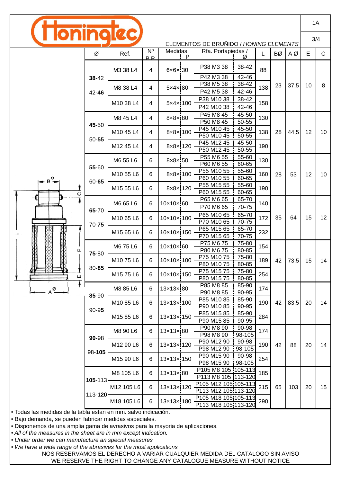|                                        |                    |            |                               |                         |  |                                              |                         |           |     | 1A   |    |              |
|----------------------------------------|--------------------|------------|-------------------------------|-------------------------|--|----------------------------------------------|-------------------------|-----------|-----|------|----|--------------|
| ELEMENTOS DE BRUÑIDO / HONING ELEMENTS |                    |            |                               |                         |  |                                              |                         |           |     | 3/4  |    |              |
|                                        | Ø                  | Ref.       | $N^{\circ}$<br>P <sub>P</sub> | Medidas<br>$\mathsf{P}$ |  | Rfa. Portapiedas /<br>Ø                      |                         |           | BØ  | ΑØ   | E  | $\mathsf{C}$ |
|                                        | 38-42<br>42-46     | M3 38 L4   | 4                             | $6 \times 6 \times 30$  |  | P38 M3 38                                    | 38-42                   | 88        |     |      |    |              |
|                                        |                    | M8 38 L4   | 4                             | 5x4x180                 |  | P42 M3 38<br>P38 M5 38<br>P42 M5 38          | 42-46<br>38-42<br>42-46 | 138       | 23  | 37,5 | 10 | 8            |
|                                        |                    | M10 38 L4  | 4                             | 5×4× 100                |  | P38 M10 38<br>P42 M10 38                     | 38-42<br>42-46          | 158       |     |      |    |              |
|                                        | 45-50<br>$50 - 55$ | M8 45 L4   | 4                             | 8×8×80                  |  | P45 M8 45<br>P50 M8 45                       | 45-50<br>$50 - 55$      | 130       |     |      |    |              |
|                                        |                    | M10 45 L4  | 4                             | 8×8× 100                |  | P45 M10 45<br>P50 M10 45                     | 45-50<br>50-55          | 138       | 28  | 44,5 | 12 | 10           |
|                                        |                    | M12 45 L4  | 4                             | 8×8× 120                |  | P45 M12 45<br>P50 M12 45                     | 45-50<br>50-55          | 190       |     |      |    |              |
|                                        | 55-60              | M6 55 L6   | 6                             | 8×8× 50                 |  | P55 M6 55<br>P60 M6 55                       | 55-60<br>60-65          | 130       |     | 53   | 12 | 10           |
|                                        | 60-65              | M10 55 L6  | 6                             | 8×8× 100                |  | P55 M10 55<br>P60 M10 55                     | 55-60<br>60-65          | 160       | 28  |      |    |              |
| ပ                                      |                    | M15 55 L6  | 6                             | 8×8× 120                |  | P55 M15 55<br>P60 M15 55                     | 55-60<br>60-65          | 190       |     |      |    |              |
|                                        | 65-70<br>$70 - 75$ | M6 65 L6   | 6                             | 10×10×60                |  | P65 M6 65<br>P70 M6 65                       | 65-70<br>70-75          | 140       |     |      |    |              |
|                                        |                    | M10 65 L6  | 6                             | 10×10× 100              |  | P65 M10 65<br>P70 M10 65                     | 65-70<br>70-75          | 172       | 35  | 64   | 15 | 12           |
|                                        |                    | M15 65 L6  | 6                             | 10×10× 150              |  | P65 M15 65<br>P70 M15 65                     | 65-70<br>70-75          | 232       |     |      |    |              |
| Δ.                                     | 75-80<br>80-85     | M6 75 L6   | 6                             | 10×10× 60               |  | P75 M6 75<br>P80 M6 75                       | 75-80<br>80-85          | 154       |     |      |    |              |
|                                        |                    | M1075L6    | 6                             | 10×10× 100              |  | P75 M10 75<br>P80 M10 75                     | 75-80<br>80-85          | 189       | 42  | 73,5 | 15 | 14           |
| ш                                      |                    | M1575L6    | 6                             | 10×10× 150              |  | P75 M15 75<br>P80 M15 75                     | 75-80<br>80-85          | 254       |     |      |    |              |
| A <sup>Ø</sup>                         | 85-90              | M8 85 L6   | 6                             | 13×13×80                |  | P85 M8 85<br>P90 M8 85                       | 85-90<br>90-95          | 174       |     |      |    |              |
|                                        | 90-95              | M10 85 L6  | 6                             | 13×13×100               |  | P85 M10 85<br>P90 M10 85                     | 85-90<br>90-95          | 190       | 42  | 83,5 | 20 | 14           |
|                                        |                    | M15 85 L6  | 6                             | 13×13×150               |  | P85 M15 85<br>P90 M15 85                     | 85-90<br>90-95          | 284       |     |      |    |              |
|                                        | 90-98<br>98-105    | M8 90 L6   | 6                             | 13×13× 80               |  | P90 M8 90<br>P98 M8 90                       | 90-98<br>98-105         | 174       |     |      |    |              |
|                                        |                    | M12 90 L6  | 6                             | 13×13× 120              |  | P90 M12 90<br>P98 M12 90                     | 90-98<br>98-105         | 190       | 42  | 88   | 20 | 14           |
|                                        |                    | M15 90 L6  | 6                             | 13×13× 150              |  | P90 M15 90<br>P98 M15 90<br>H                | 90-98<br>98-105         | 254       |     |      |    |              |
|                                        | 105-113            | M8 105 L6  | 6                             | 13×13× 80               |  | P105 M8 105 105-113<br>P113 M8 105 113-120   |                         | 185       |     |      |    |              |
|                                        | 113-120            | M12 105 L6 | 6                             | 13×13× 120              |  | P105 M12 105 105-113<br>P113 M12 105 113-120 |                         | 215<br>65 | 103 | 20   | 15 |              |
|                                        |                    | M18 105 L6 | 6                             | 13×13× 180              |  | P105 M18 105 105-113<br>P113 M18 105 113-120 |                         | 290       |     |      |    |              |

• Todas las medidas de la tabla estan en mm. salvo indicación.

• Bajo demanda, se pueden fabricar medidas especiales.

• Disponemos de una amplia gama de avrasivos para la mayoria de aplicaciones.

*• All of the measures in the sheet are in mm except indication.*

*• Under order we can manufacture an special measures*

• We have a wide range of the abrasives for the most applications

NOS RESERVAMOS EL DERECHO A VARIAR CUALQUIER MEDIDA DEL CATALOGO SIN AVISO WE RESERVE THE RIGHT TO CHANGE ANY CATALOGUE MEASURE WITHOUT NOTICE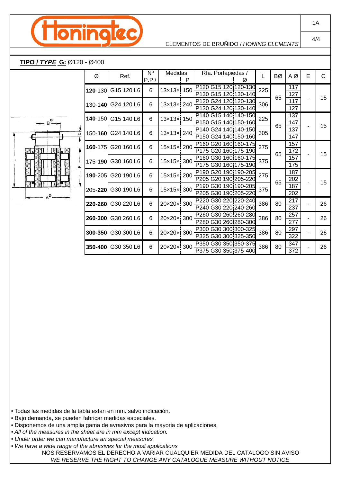

#### ELEMENTOS DE BRUÑIDO / *HONING ELEMENTS*

#### **TIPO /** *TYPE* **G:** Ø120 - Ø400

 $B^{\circ}$ 

 $\Delta^{\emptyset}$ 

| ပ        | Ø           | Ref.               | $N^{\circ}$<br>P.P/ | Medidas<br>P |  | Rfa. Portapiedas /<br>Ø                      |     | BØ | ΑØ         | E              | C  |
|----------|-------------|--------------------|---------------------|--------------|--|----------------------------------------------|-----|----|------------|----------------|----|
|          | 120-130     | G15 120 L6         | 6                   | 13×13× 150   |  | P120 G15 120 120-130<br>P130 G15 120 130-140 | 225 | 65 | 117<br>127 |                |    |
|          | $130 - 140$ | G24 120 L6         | 6                   | 13×13× 240   |  | P120 G24 120 120-130<br>P130 G24 120 130-140 | 306 |    | 117<br>127 |                | 15 |
|          | 140-150     | G15 140 L6         | 6                   | 13×13× 150   |  | P140 G15 140 140-150<br>P150 G15 140 150-160 | 225 | 65 | 137<br>147 |                | 15 |
|          |             | 150-160 G24 140 L6 | 6                   | 13×13× 240   |  | P140 G24 140 140-150<br>P150 G24 140 150-160 | 305 |    | 137<br>147 |                |    |
|          | $160 - 175$ | G20 160 L6         | 6                   | 15×15× 200   |  | P160 G20 160 160-175<br>P175 G20 160 175-190 | 275 | 65 | 157<br>172 |                | 15 |
| $\Omega$ | 175-190     | G30 160 L6         | 6                   | 15×15× 300   |  | P160 G30 160 160-175<br>P175 G30 160 175-190 | 375 |    | 157<br>175 |                |    |
| PΓ       | 190-205     | G20 190 L6         | 6                   | 15×15× 200   |  | P190 G20 190 190-205<br>P205 G20 190 205-220 | 275 | 65 | 187<br>202 |                | 15 |
|          | 205-220     | G30 190 L6         | 6                   | 15×15× 300   |  | P190 G30 190 190-205<br>P205 G30 190 205-220 | 375 |    | 187<br>202 |                |    |
|          | 220-260     | G30 220 L6         | 6                   | 20×20× 300   |  | P220 G30 220 220-240<br>P240 G30 220 240-260 | 386 | 80 | 217<br>237 |                | 26 |
|          | 260-300     | G30 260 L6         | 6                   | 20×20× 300   |  | P260 G30 260 260-280<br>P280 G30 260 280-300 | 386 | 80 | 257<br>277 | $\blacksquare$ | 26 |
|          | 300-350     | G30 300 L6         | 6                   | 20×20× 300   |  | P300 G30 300 300-325<br>P325 G30 300 325-350 | 386 | 80 | 297<br>322 |                | 26 |
|          | 350-400     | G30 350 L6         | 6                   | 20×20× 300   |  | P350 G30 350 350-375<br>P375 G30 350 375-400 | 386 | 80 | 347<br>372 |                | 26 |

• Todas las medidas de la tabla estan en mm. salvo indicación.

• Bajo demanda, se pueden fabricar medidas especiales.

- Disponemos de una amplia gama de avrasivos para la mayoria de aplicaciones.
- *All of the measures in the sheet are in mm except indication.*
- *Under order we can manufacture an special measures*
- *We have a wide range of the abrasives for the most applications*

NOS RESERVAMOS EL DERECHO A VARIAR CUALQUIER MEDIDA DEL CATALOGO SIN AVISO *WE RESERVE THE RIGHT TO CHANGE ANY CATALOGUE MEASURE WITHOUT NOTICE*

1A

4/4